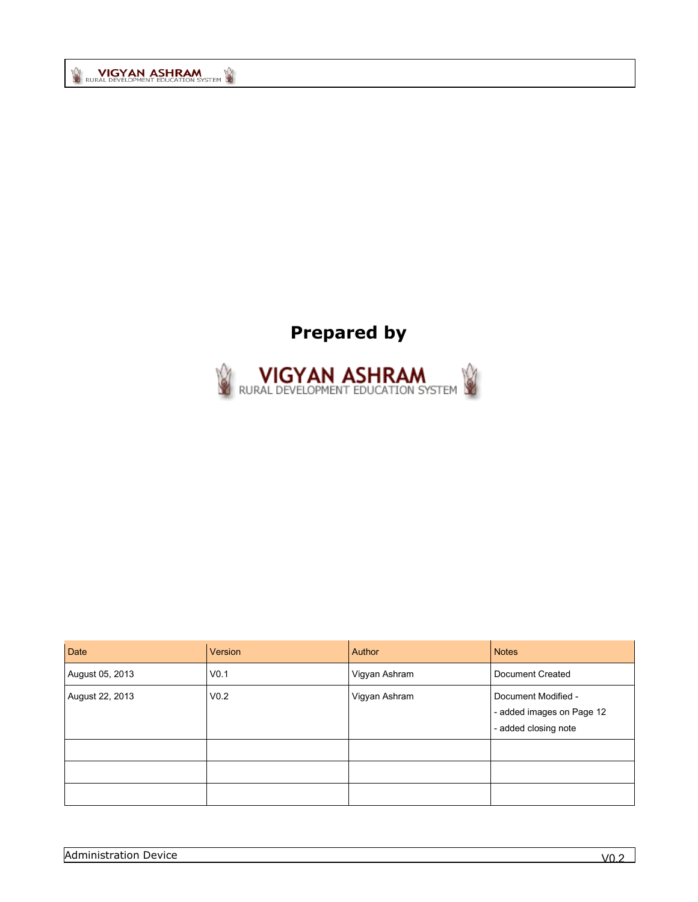# **Prepared by**



| Date            | Version          | <b>Author</b> | <b>Notes</b>                                                             |
|-----------------|------------------|---------------|--------------------------------------------------------------------------|
| August 05, 2013 | V <sub>0.1</sub> | Vigyan Ashram | Document Created                                                         |
| August 22, 2013 | V <sub>0.2</sub> | Vigyan Ashram | Document Modified -<br>- added images on Page 12<br>- added closing note |
|                 |                  |               |                                                                          |
|                 |                  |               |                                                                          |
|                 |                  |               |                                                                          |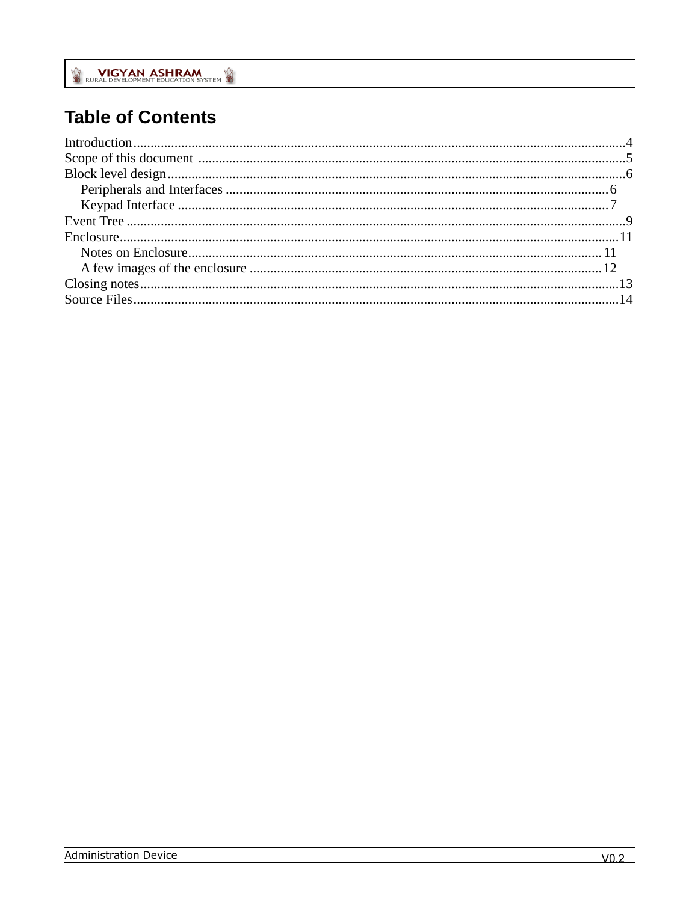# **Table of Contents**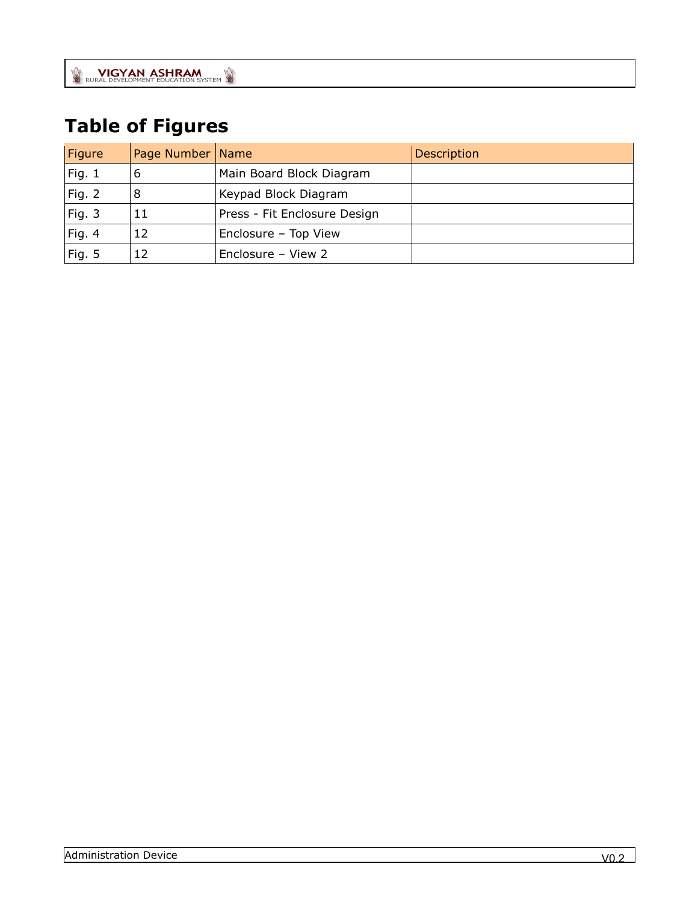# **Table of Figures**

| Figure        | Page Number | <b>Name</b>                  | Description |
|---------------|-------------|------------------------------|-------------|
| Fig. 1        | 6           | Main Board Block Diagram     |             |
| <b>Fig. 2</b> | 8           | Keypad Block Diagram         |             |
| Fig. 3        | 11          | Press - Fit Enclosure Design |             |
| Fig. 4        | 12          | Enclosure - Top View         |             |
| Fig. 5        | 12          | Enclosure - View 2           |             |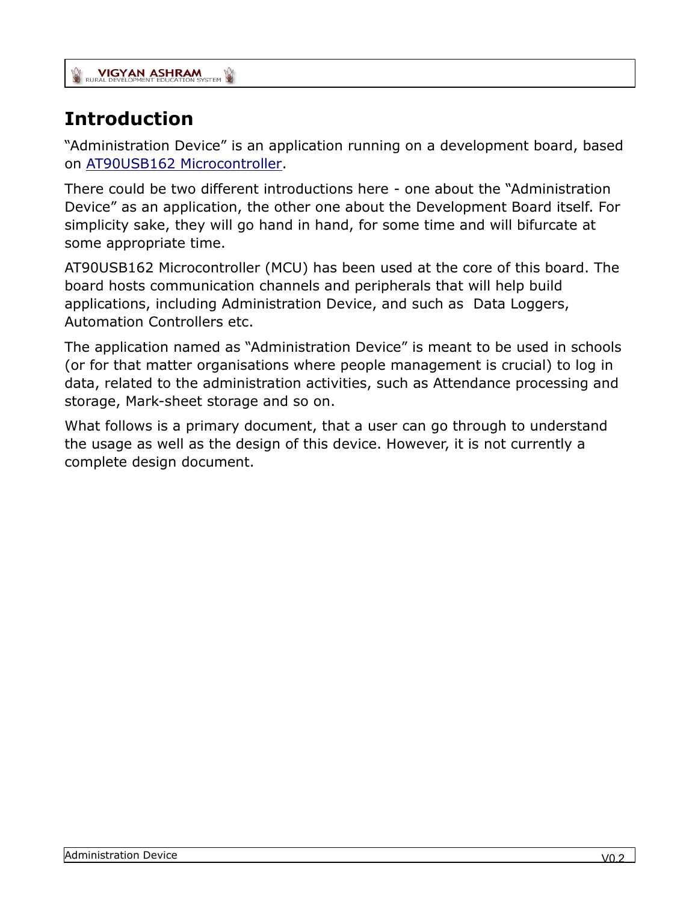## <span id="page-3-0"></span>**Introduction**

"Administration Device" is an application running on a development board, based on [AT90USB162 Microcontroller.](http://www.atmel.in/devices/AT90USB162.aspx)

There could be two different introductions here - one about the "Administration Device" as an application, the other one about the Development Board itself. For simplicity sake, they will go hand in hand, for some time and will bifurcate at some appropriate time.

AT90USB162 Microcontroller (MCU) has been used at the core of this board. The board hosts communication channels and peripherals that will help build applications, including Administration Device, and such as Data Loggers, Automation Controllers etc.

The application named as "Administration Device" is meant to be used in schools (or for that matter organisations where people management is crucial) to log in data, related to the administration activities, such as Attendance processing and storage, Mark-sheet storage and so on.

What follows is a primary document, that a user can go through to understand the usage as well as the design of this device. However, it is not currently a complete design document.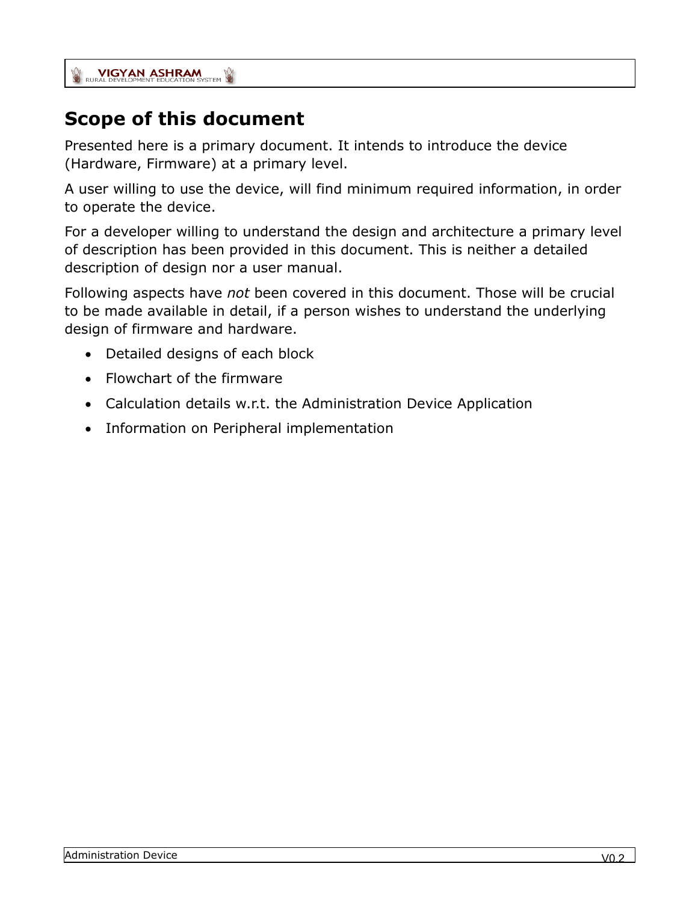## <span id="page-4-0"></span>**Scope of this document**

Presented here is a primary document. It intends to introduce the device (Hardware, Firmware) at a primary level.

A user willing to use the device, will find minimum required information, in order to operate the device.

For a developer willing to understand the design and architecture a primary level of description has been provided in this document. This is neither a detailed description of design nor a user manual.

Following aspects have *not* been covered in this document. Those will be crucial to be made available in detail, if a person wishes to understand the underlying design of firmware and hardware.

- Detailed designs of each block
- Flowchart of the firmware
- Calculation details w.r.t. the Administration Device Application
- Information on Peripheral implementation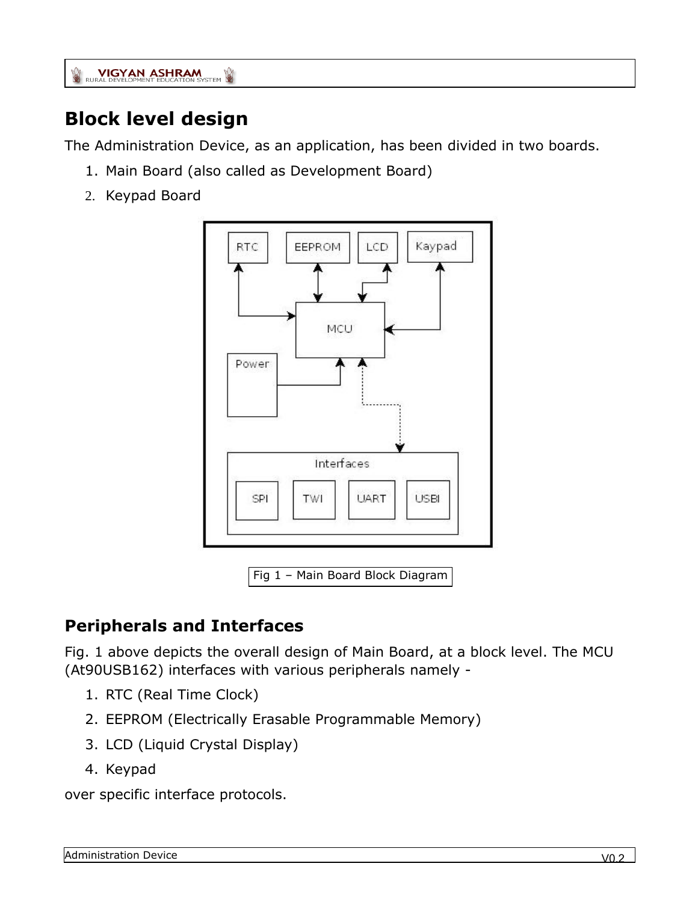## <span id="page-5-0"></span>**Block level design**

The Administration Device, as an application, has been divided in two boards.

- 1. Main Board (also called as Development Board)
- 2. Keypad Board



Fig 1 – Main Board Block Diagram

### <span id="page-5-1"></span>**Peripherals and Interfaces**

Fig. 1 above depicts the overall design of Main Board, at a block level. The MCU (At90USB162) interfaces with various peripherals namely -

- 1. RTC (Real Time Clock)
- 2. EEPROM (Electrically Erasable Programmable Memory)
- 3. LCD (Liquid Crystal Display)
- 4. Keypad

over specific interface protocols.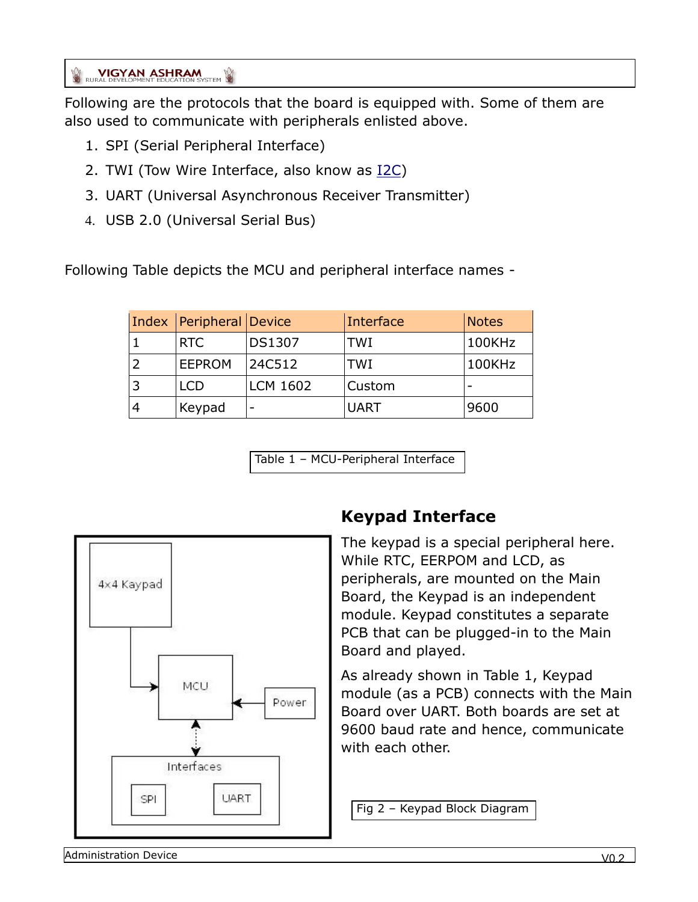Following are the protocols that the board is equipped with. Some of them are also used to communicate with peripherals enlisted above.

- 1. SPI (Serial Peripheral Interface)
- 2. TWI (Tow Wire Interface, also know as [I2C\)](http://www.i2c-bus.org/)
- 3. UART (Universal Asynchronous Receiver Transmitter)
- 4. USB 2.0 (Universal Serial Bus)

Following Table depicts the MCU and peripheral interface names -

| Index   Peripheral   Device |                 | Interface   | <b>Notes</b> |
|-----------------------------|-----------------|-------------|--------------|
| RTC                         | <b>DS1307</b>   | <b>TWI</b>  | 100KHz       |
| <b>EEPROM</b>               | 24C512          | <b>TWI</b>  | 100KHz       |
| <b>LCD</b>                  | <b>LCM 1602</b> | Custom      |              |
| Keypad                      |                 | <b>UART</b> | 9600         |

Table 1 – MCU-Peripheral Interface



### <span id="page-6-0"></span>**Keypad Interface**

The keypad is a special peripheral here. While RTC, EERPOM and LCD, as peripherals, are mounted on the Main Board, the Keypad is an independent module. Keypad constitutes a separate PCB that can be plugged-in to the Main Board and played.

As already shown in Table 1, Keypad module (as a PCB) connects with the Main Board over UART. Both boards are set at 9600 baud rate and hence, communicate with each other.

Fig 2 – Keypad Block Diagram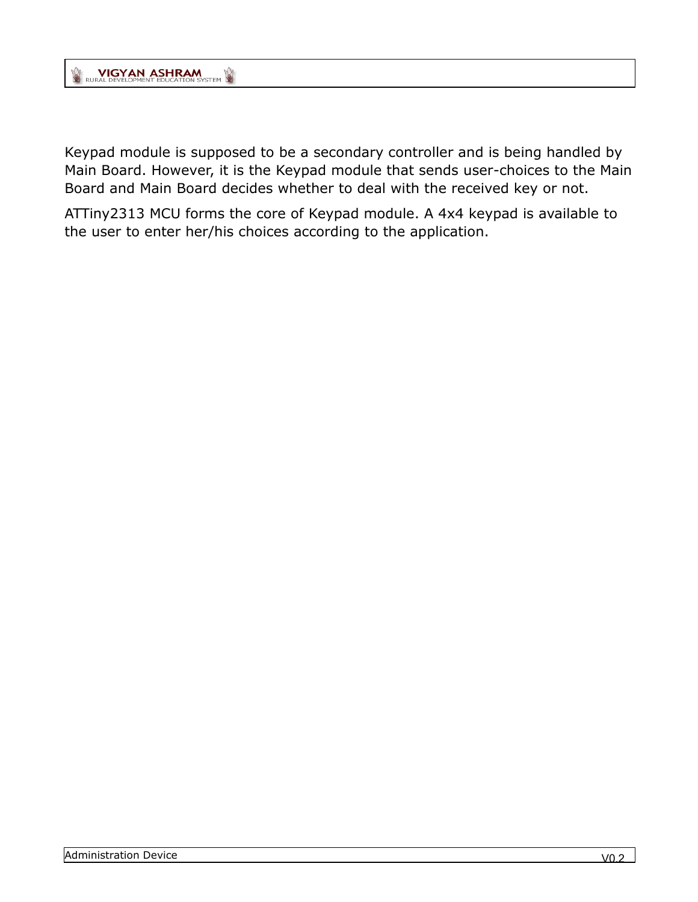Keypad module is supposed to be a secondary controller and is being handled by Main Board. However, it is the Keypad module that sends user-choices to the Main Board and Main Board decides whether to deal with the received key or not.

ATTiny2313 MCU forms the core of Keypad module. A 4x4 keypad is available to the user to enter her/his choices according to the application.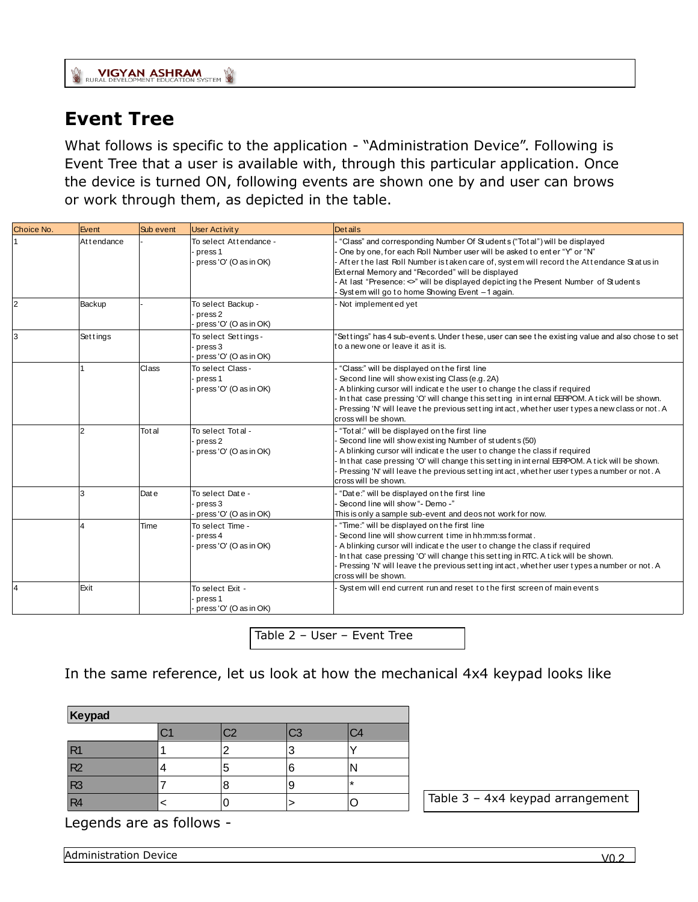### <span id="page-8-0"></span>**Event Tree**

What follows is specific to the application - "Administration Device". Following is Event Tree that a user is available with, through this particular application. Once<br>
the device is turned ON, following events are shown one by and user can brows<br>
or work through them, as depicted in the table.<br>
Choice No or work through them, as depicted in the table.

| Choice No.     | Event          | Sub event | <b>User Activity</b>                                               | <b>Details</b>                                                                                                                                                                                                                                                                                                                                                                                                                                    |
|----------------|----------------|-----------|--------------------------------------------------------------------|---------------------------------------------------------------------------------------------------------------------------------------------------------------------------------------------------------------------------------------------------------------------------------------------------------------------------------------------------------------------------------------------------------------------------------------------------|
|                | At tendance    |           | To select Attendance -<br>press 1<br>press 'O' (O as in OK)        | "Class" and corresponding Number Of Students ("Total") will be displayed<br>One by one, for each Roll Number user will be asked to enter "Y" or "N"<br>After the last Roll Number is taken care of, system will record the Attendance Status in<br>External Memory and "Recorded" will be displayed<br>At last "Presence: $\infty$ " will be displayed depicting the Present Number of Students<br>System will go to home Showing Event -1 again. |
| $\overline{2}$ | Backup         |           | To select Backup -<br>press <sub>2</sub><br>press 'O' (O as in OK) | Not implemented yet                                                                                                                                                                                                                                                                                                                                                                                                                               |
|                | Settings       |           | To select Settings -<br>press 3<br>press 'O' (O as in OK)          | "Settings" has 4 sub-events. Under these, user can see the existing value and also chose to set<br>to a new one or leave it as it is.                                                                                                                                                                                                                                                                                                             |
|                |                | Class     | To select Class -<br>press 1<br>press 'O' (O as in OK)             | "Class:" will be displayed on the first line<br>Second line will show existing Class (e.g. 2A)<br>A blinking cursor will indicate the user to change the class if required<br>In that case pressing 'O' will change this setting in internal EERPOM. A tick will be shown.<br>Pressing 'N' will leave the previous setting intact, whether user types a new class or not. A<br>cross will be shown.                                               |
|                | $\overline{2}$ | Total     | To select Tot al -<br>press <sub>2</sub><br>press 'O' (O as in OK) | "Tot al:" will be displayed on the first line<br>Second line will show existing Number of students (50)<br>A blinking cursor will indicate the user to change the class if required<br>In that case pressing 'O' will change this setting in internal EERPOM. A tick will be shown.<br>Pressing 'N' will leave the previous setting intact, whether user types a number or not. A<br>cross will be shown.                                         |
|                | 3              | Dat e     | To select Date -<br>press 3<br>press 'O' (O as in OK)              | "Date:" will be displayed on the first line<br>Second line will show "- Demo -"<br>This is only a sample sub-event and deos not work for now.                                                                                                                                                                                                                                                                                                     |
|                |                | Time      | To select Time -<br>press 4<br>press 'O' (O as in OK)              | "Time:" will be displayed on the first line<br>Second line will show current time in hh:mm:ss format.<br>A blinking cursor will indicate the user to change the class if required<br>In that case pressing 'O' will change this setting in RTC. A tick will be shown.<br>Pressing 'N' will leave the previous setting intact, whether user types a number or not. A<br>cross will be shown.                                                       |
|                | Exit           |           | To select Exit -<br>press <sub>1</sub><br>press 'O' (O as in OK)   | System will end current run and reset to the first screen of main events                                                                                                                                                                                                                                                                                                                                                                          |

Table 2 – User – Event Tree

In the same reference, let us look at how the mechanical 4x4 keypad looks like

| Keypad         |  |    |    |         |
|----------------|--|----|----|---------|
|                |  | C2 | CЗ |         |
| R1             |  | ┍  | З  |         |
| R2             |  | 5  | 6  |         |
| R <sub>3</sub> |  |    | 9  | $\star$ |
| R <sub>4</sub> |  |    |    |         |

Table 3 – 4x4 keypad arrangement

Legends are as follows -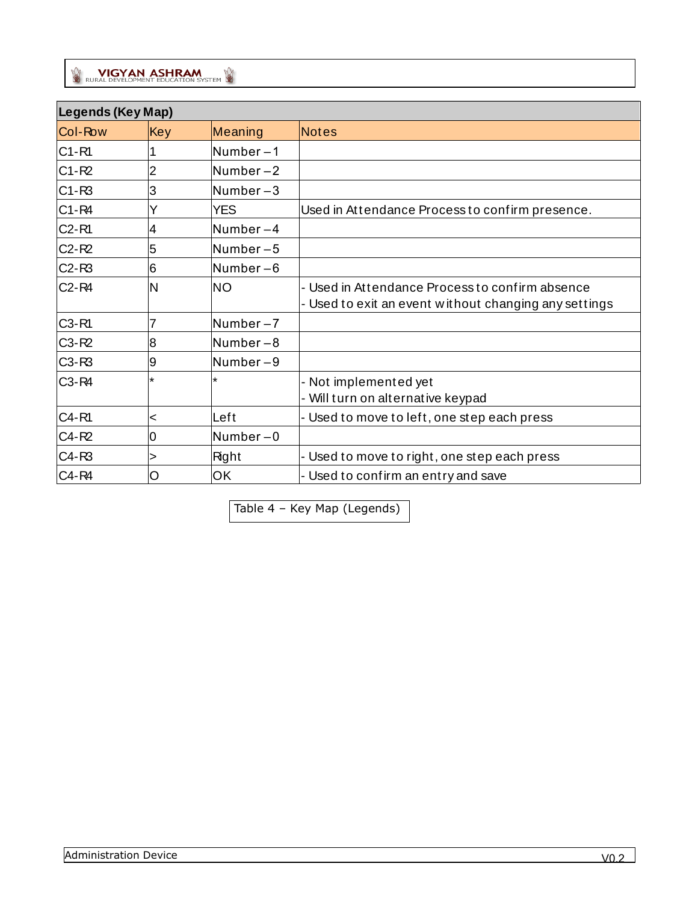|                                | Legends (Key Map) |             |                                                                                                          |  |
|--------------------------------|-------------------|-------------|----------------------------------------------------------------------------------------------------------|--|
| Col-Row                        | Key               | Meaning     | <b>Notes</b>                                                                                             |  |
| $C1 - R1$                      |                   | Number-1    |                                                                                                          |  |
| $C1 - R2$                      | 2                 | Number $-2$ |                                                                                                          |  |
| $C1-R3$                        | 3                 | Number $-3$ |                                                                                                          |  |
| $C1 - R4$                      | Y                 | <b>YES</b>  | Used in Attendance Process to confirm presence.                                                          |  |
| C <sub>2</sub> -R <sub>1</sub> | 4                 | Number-4    |                                                                                                          |  |
| $C2 - R2$                      | 5                 | Number $-5$ |                                                                                                          |  |
| $C2-R3$                        | 6                 | Number $-6$ |                                                                                                          |  |
| $C2 - R4$                      | N                 | <b>NO</b>   | - Used in Attendance Process to confirm absence<br>- Used to exit an event without changing any settings |  |
| C3-R1                          | 7                 | Number $-7$ |                                                                                                          |  |
| $C3-R2$                        | 8                 | Number-8    |                                                                                                          |  |
| $C3-R3$                        | 9                 | Number-9    |                                                                                                          |  |
| C <sub>3</sub> -R <sub>4</sub> | ¥                 | $\star$     | - Not implemented yet<br>- Will turn on alternative keypad                                               |  |
| C4-R1                          | <                 | Left        | - Used to move to left, one step each press                                                              |  |
| C4-R2                          | 0                 | Number $-0$ |                                                                                                          |  |
| $C4-R3$                        | >                 | Right       | - Used to move to right, one step each press                                                             |  |
| C4-R4                          | O                 | OK          | - Used to confirm an entry and save                                                                      |  |

Table 4 – Key Map (Legends)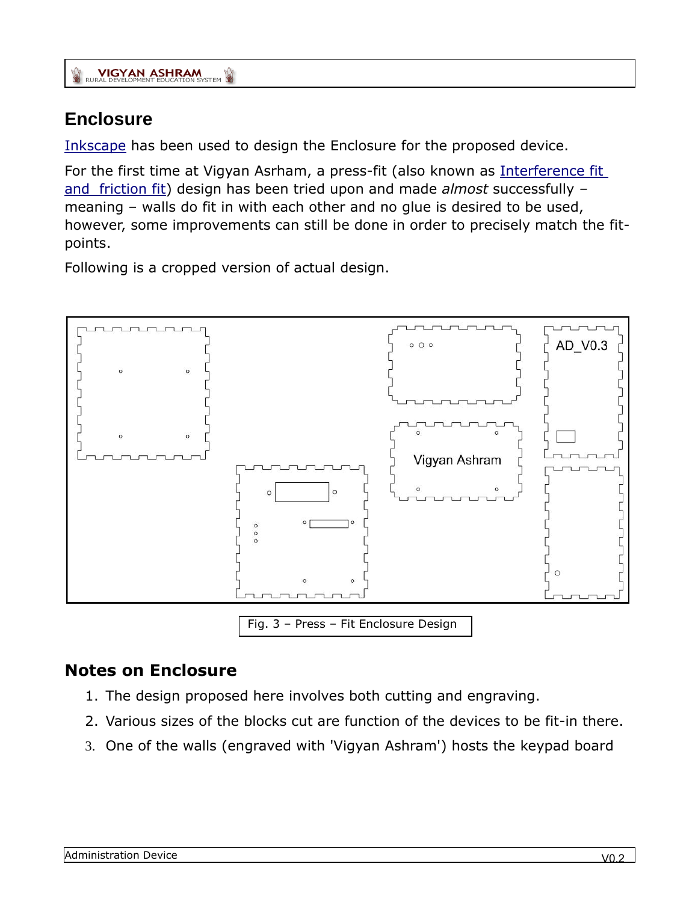#### <span id="page-10-0"></span>**Enclosure**

[Inkscape](http://inkscape.org/) has been used to design the Enclosure for the proposed device.

For the first time at Vigyan Asrham, a press-fit (also known as Interference fit [and friction fit\)](http://en.wikipedia.org/wiki/Interference_fit) design has been tried upon and made *almost* successfully *–* meaning – walls do fit in with each other and no glue is desired to be used, however, some improvements can still be done in order to precisely match the fitpoints.

Following is a cropped version of actual design.



#### <span id="page-10-1"></span>**Notes on Enclosure**

- 1. The design proposed here involves both cutting and engraving.
- 2. Various sizes of the blocks cut are function of the devices to be fit-in there.
- 3. One of the walls (engraved with 'Vigyan Ashram') hosts the keypad board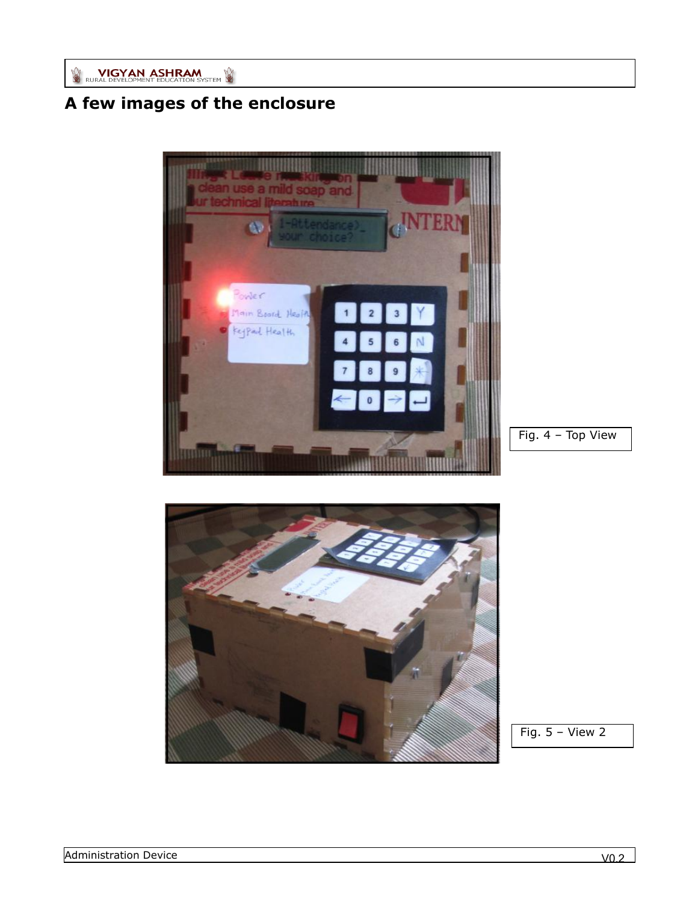## <span id="page-11-0"></span>**A few images of the enclosure**



Fig. 4 – Top View



Fig.  $5 -$  View 2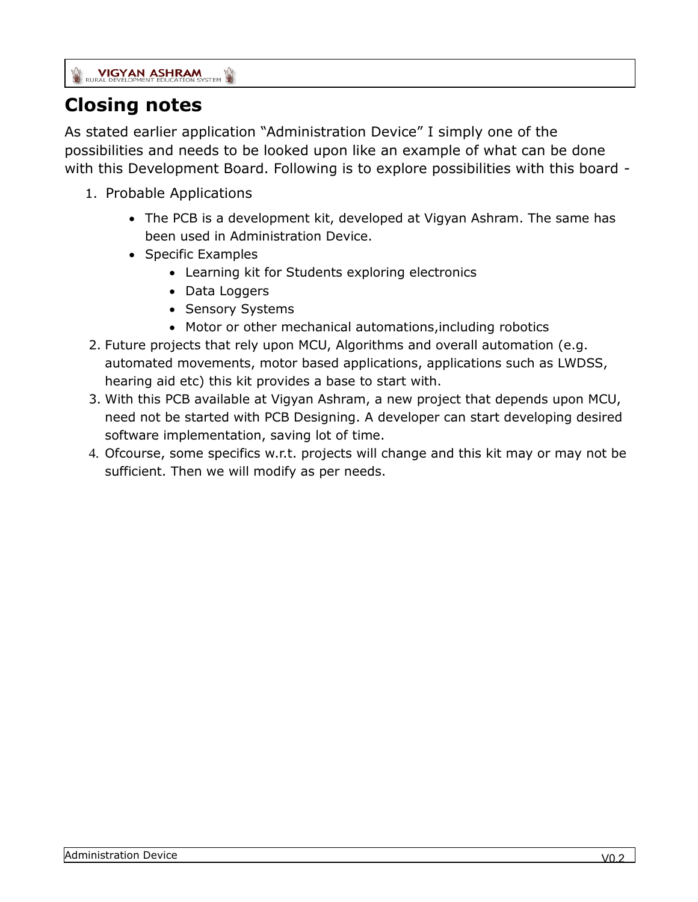### <span id="page-12-0"></span>**Closing notes**

As stated earlier application "Administration Device" I simply one of the possibilities and needs to be looked upon like an example of what can be done with this Development Board. Following is to explore possibilities with this board -

- 1. Probable Applications
	- The PCB is a development kit, developed at Vigyan Ashram. The same has been used in Administration Device.
	- Specific Examples
		- Learning kit for Students exploring electronics
		- Data Loggers
		- Sensory Systems
		- Motor or other mechanical automations,including robotics
- 2. Future projects that rely upon MCU, Algorithms and overall automation (e.g. automated movements, motor based applications, applications such as LWDSS, hearing aid etc) this kit provides a base to start with.
- 3. With this PCB available at Vigyan Ashram, a new project that depends upon MCU, need not be started with PCB Designing. A developer can start developing desired software implementation, saving lot of time.
- 4. Ofcourse, some specifics w.r.t. projects will change and this kit may or may not be sufficient. Then we will modify as per needs.